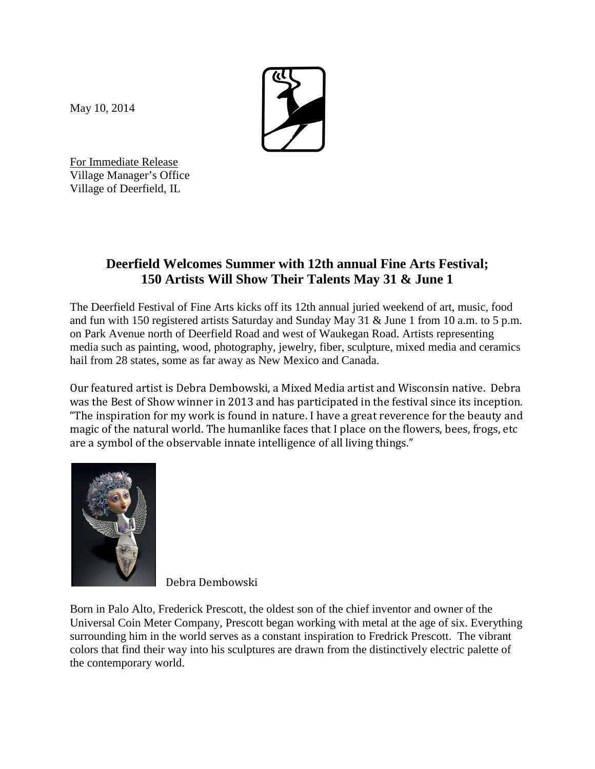May 10, 2014



For Immediate Release Village Manager's Office Village of Deerfield, IL

## **Deerfield Welcomes Summer with 12th annual Fine Arts Festival; 150 Artists Will Show Their Talents May 31 & June 1**

The Deerfield Festival of Fine Arts kicks off its 12th annual juried weekend of art, music, food and fun with 150 registered artists Saturday and Sunday May 31 & June 1 from 10 a.m. to 5 p.m. on Park Avenue north of Deerfield Road and west of Waukegan Road. Artists representing media such as painting, wood, photography, jewelry, fiber, sculpture, mixed media and ceramics hail from 28 states, some as far away as New Mexico and Canada.

Our featured artist is Debra Dembowski, a Mixed Media artist and Wisconsin native. Debra was the Best of Show winner in 2013 and has participated in the festival since its inception. "The inspiration for my work is found in nature. I have a great reverence for the beauty and magic of the natural world. The humanlike faces that I place on the flowers, bees, frogs, etc are a symbol of the observable innate intelligence of all living things."



Debra Dembowski

Born in Palo Alto, Frederick Prescott, the oldest son of the chief inventor and owner of the Universal Coin Meter Company, Prescott began working with metal at the age of six. Everything surrounding him in the world serves as a constant inspiration to Fredrick Prescott. The vibrant colors that find their way into his sculptures are drawn from the distinctively electric palette of the contemporary world.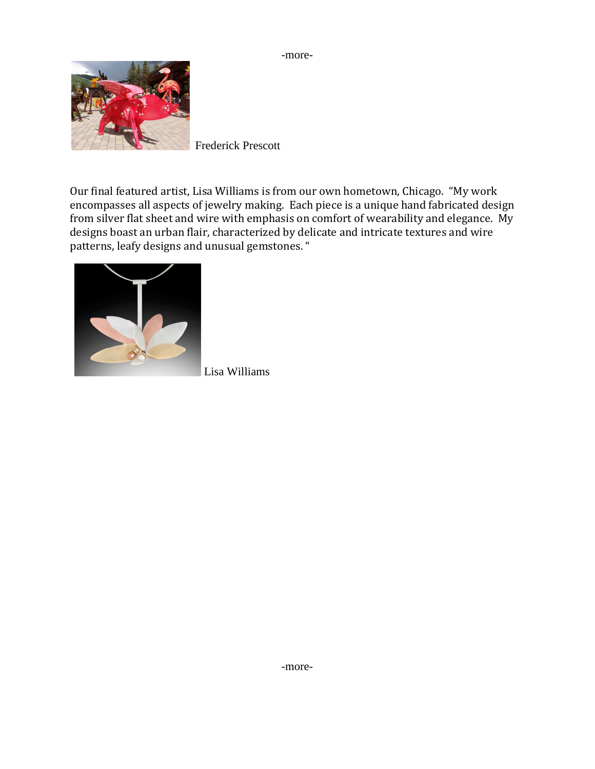



Frederick Prescott

Our final featured artist, Lisa Williams is from our own hometown, Chicago. "My work encompasses all aspects of jewelry making. Each piece is a unique hand fabricated design from silver flat sheet and wire with emphasis on comfort of wearability and elegance. My designs boast an urban flair, characterized by delicate and intricate textures and wire patterns, leafy designs and unusual gemstones. "



Lisa Williams